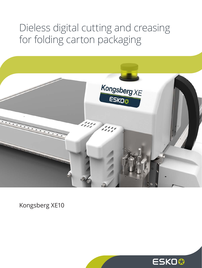# Dieless digital cutting and creasing for folding carton packaging



Kongsberg XE10

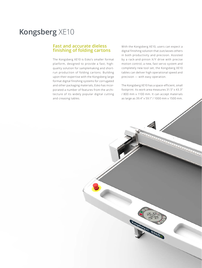# **Kongsberg** XE10

#### **Fast and accurate dieless finishing of folding cartons**

The Kongsberg XE10 is Esko's smaller format platform, designed to provide a fast, highquality solution for samplemaking and shortrun production of folding cartons. Building upon their expertise with the Kongsberg large format digital finishing systems for corrugated and other packaging materials, Esko has incorporated a number of features from the architecture of its widely popular digital cutting and creasing tables.

With the Kongsberg XE10, users can expect a digital finishing solution that outclasses others in both productivity and precision. Assisted by a rack-and-pinion X/Y drive with precise motion control, a new, fast servo system and completely new tool set, the Kongsberg XE10 tables can deliver high operational speed and precision — with easy operation.

The Kongsberg XE10 has a space-efficient, small footprint. Its work area measures 31.5" x 43.3" / 800 mm x 1100 mm. It can accept materials as large as 39.4" x 59.1" / 1000 mm x 1500 mm.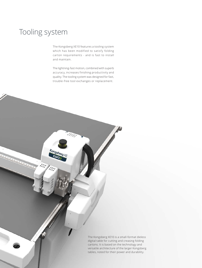# Tooling system

The Kongsberg XE10 features a tooling system which has been modified to satisfy folding carton requirements - and is fast to install and maintain.

The lightning-fast motion, combined with superb accuracy, increases finishing productivity and quality. The tooling system was designed for fast, trouble-free tool exchanges or replacement.

Kongst

 $\frac{1}{2}$ 

ill

The Kongsberg XE10 is a small-format dieless digital table for cutting and creasing folding cartons. It is based on the technology and versatile architecture of the larger Kongsberg tables, noted for their power and durability.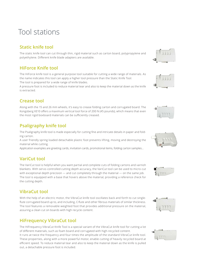# Tool stations

## **Static knife tool**

The static knife tool can cut through thin, rigid material such as carton board, polypropylene and polyethylene. Different knife blade adapters are available.

### **HiForce Knife tool**

The HiForce knife tool is a general purpose tool suitable for cutting a wide range of materials. As the name indicates this tool can apply a higher tool pressure than the Static Knife Tool. The tool is prepared for a wide range of knife blades.

A pressure foot is included to reduce material tear and also to keep the material down as the knife is extracted.

### **Crease tool**

Along with the 15 and 26 mm wheels, it's easy to crease folding carton and corrugated board. The Kongsberg XE10 offers a maximum vertical tool force of 200 N (45 pounds), which means that even the most rigid boxboard materials can be sufficiently creased.

## **Psaligraphy knife tool**

The Psaligraphy knife tool is made especially for cutting fine and intricate details in paper and folding carton.

A user friendly spring loaded detachable plastic foot prevents lifting, moving and destroying the material while cutting.

Application examples are greeting cards, invitation cards, promotional items, folding carton samples...

#### **VariCut tool**

The VariCut tool is helpful when you want partial and complete cuts of folding cartons and varnish blankets. With servo-controlled cutting depth accuracy, the VariCut tool can be used to micro-cut with exceptional depth precision — and cut completely through the material — on the same job. The tool is equipped with a base that hovers above the material, providing a reference check for the cutting depth.

### **VibraCut tool**

With the help of an electric motor, the VibraCut knife tool oscillates back and forth to cut singleflute corrugated board up to, and including, C-flute and other fibrous materials of similar thickness. The tool features a removable weighted foot that provides additional pressure on the material, assuring a clean cut on boards with high recycle content.

### **HiFrequency VibraCut tool**

The HiFrequency VibraCut Knife Tool is a special variant of the VibraCut knife tool for cutting a lot of different materials, such as foam board and corrugated with high-recycled content.

It runs at twice the frequency and four times the amplitude of the standard VibraCut knife tool. These properties, along with a more powerful motor, enable cutting of heavily recycled board at efficient speed. To reduce material tear and also to keep the material down as the knife is pulled out, a detachable pressure foot is included.













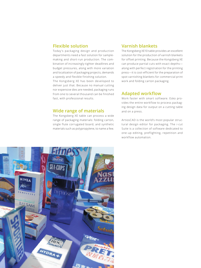#### **Flexible solution**

Today's packaging design and production departments need a fast solution for samplemaking and short-run production. The combination of increasingly tighter deadlines and budget pressures, along with more variation and localization of packaging projects, demands a speedy and flexible finishing solution.

The Kongsberg XE has been developed to deliver just that. Because no manual cutting nor expensive dies are needed, packaging runs from one to several thousand can be finished fast, with professional results.

#### **Wide range of materials**

The Kongsberg XE table can process a wide range of packaging materials: folding carton, single flute corrugated board, and synthetic materials such as polypropylene, to name a few.

#### **Varnish blankets**

The Kongsberg XE10 table provides an excellent solution for the production of varnish blankets for offset printing. Because the Kongsberg XE can produce partial cuts with exact depths along with perfect registration for the printing press—it is cost-efficient for the preparation of spot varnishing blankets for commercial print work and folding carton packaging.

#### **Adapted workflow**

Work faster with smart software. Esko provides the entire workflow to process packaging design data for output on a cutting table and on a press.

ArtiosCAD is the world's most popular structural design editor for packaging. The *i-*cut Suite is a collection of software dedicated to one-up editing, preflighting, repetition and workflow automation.